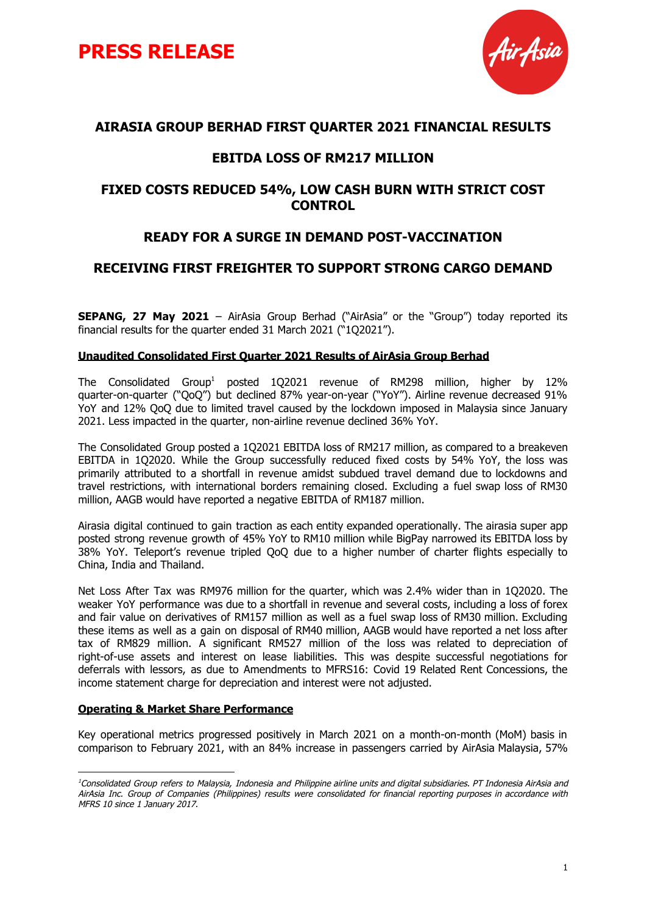



### **AIRASIA GROUP BERHAD FIRST QUARTER 2021 FINANCIAL RESULTS**

## **EBITDA LOSS OF RM217 MILLION**

## **FIXED COSTS REDUCED 54%, LOW CASH BURN WITH STRICT COST CONTROL**

## **READY FOR A SURGE IN DEMAND POST-VACCINATION**

### **RECEIVING FIRST FREIGHTER TO SUPPORT STRONG CARGO DEMAND**

**SEPANG, 27 May 2021** – AirAsia Group Berhad ("AirAsia" or the "Group") today reported its financial results for the quarter ended 31 March 2021 ("1Q2021").

### **Unaudited Consolidated First Quarter 2021 Results of AirAsia Group Berhad**

The Consolidated Group <sup>1</sup> posted 1Q2021 revenue of RM298 million, higher by 12% quarter-on-quarter ("QoQ") but declined 87% year-on-year ("YoY"). Airline revenue decreased 91% YoY and 12% QoQ due to limited travel caused by the lockdown imposed in Malaysia since January 2021. Less impacted in the quarter, non-airline revenue declined 36% YoY.

The Consolidated Group posted a 1Q2021 EBITDA loss of RM217 million, as compared to a breakeven EBITDA in 1Q2020. While the Group successfully reduced fixed costs by 54% YoY, the loss was primarily attributed to a shortfall in revenue amidst subdued travel demand due to lockdowns and travel restrictions, with international borders remaining closed. Excluding a fuel swap loss of RM30 million, AAGB would have reported a negative EBITDA of RM187 million.

Airasia digital continued to gain traction as each entity expanded operationally. The airasia super app posted strong revenue growth of 45% YoY to RM10 million while BigPay narrowed its EBITDA loss by 38% YoY. Teleport's revenue tripled QoQ due to a higher number of charter flights especially to China, India and Thailand.

Net Loss After Tax was RM976 million for the quarter, which was 2.4% wider than in 1Q2020. The weaker YoY performance was due to a shortfall in revenue and several costs, including a loss of forex and fair value on derivatives of RM157 million as well as a fuel swap loss of RM30 million. Excluding these items as well as a gain on disposal of RM40 million, AAGB would have reported a net loss after tax of RM829 million. A significant RM527 million of the loss was related to depreciation of right-of-use assets and interest on lease liabilities. This was despite successful negotiations for deferrals with lessors, as due to Amendments to MFRS16: Covid 19 Related Rent Concessions, the income statement charge for depreciation and interest were not adjusted.

#### **Operating & Market Share Performance**

Key operational metrics progressed positively in March 2021 on a month-on-month (MoM) basis in comparison to February 2021, with an 84% increase in passengers carried by AirAsia Malaysia, 57%

<sup>&</sup>lt;sup>1</sup>Consolidated Group refers to Malaysia, Indonesia and Philippine airline units and digital subsidiaries. PT Indonesia AirAsia and AirAsia Inc. Group of Companies (Philippines) results were consolidated for financial reporting purposes in accordance with MFRS 10 since 1 January 2017.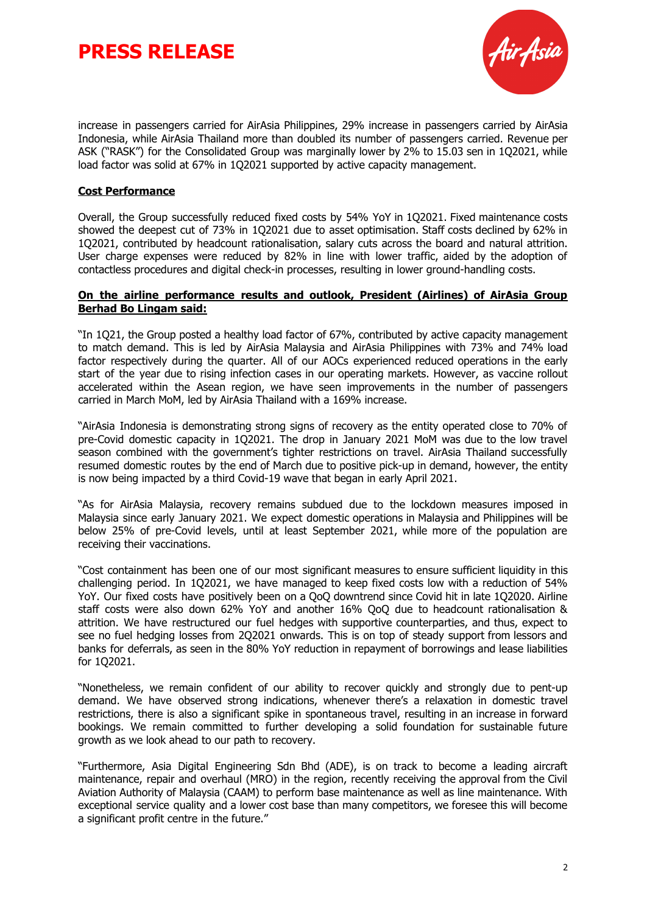# **PRESS RELEASE**



increase in passengers carried for AirAsia Philippines, 29% increase in passengers carried by AirAsia Indonesia, while AirAsia Thailand more than doubled its number of passengers carried. Revenue per ASK ("RASK") for the Consolidated Group was marginally lower by 2% to 15.03 sen in 1Q2021, while load factor was solid at 67% in 1Q2021 supported by active capacity management.

### **Cost Performance**

Overall, the Group successfully reduced fixed costs by 54% YoY in 1Q2021. Fixed maintenance costs showed the deepest cut of 73% in 1Q2021 due to asset optimisation. Staff costs declined by 62% in 1Q2021, contributed by headcount rationalisation, salary cuts across the board and natural attrition. User charge expenses were reduced by 82% in line with lower traffic, aided by the adoption of contactless procedures and digital check-in processes, resulting in lower ground-handling costs.

#### **On the airline performance results and outlook, President (Airlines) of AirAsia Group Berhad Bo Lingam said:**

"In 1Q21, the Group posted a healthy load factor of 67%, contributed by active capacity management to match demand. This is led by AirAsia Malaysia and AirAsia Philippines with 73% and 74% load factor respectively during the quarter. All of our AOCs experienced reduced operations in the early start of the year due to rising infection cases in our operating markets. However, as vaccine rollout accelerated within the Asean region, we have seen improvements in the number of passengers carried in March MoM, led by AirAsia Thailand with a 169% increase.

"AirAsia Indonesia is demonstrating strong signs of recovery as the entity operated close to 70% of pre-Covid domestic capacity in 1Q2021. The drop in January 2021 MoM was due to the low travel season combined with the government's tighter restrictions on travel. AirAsia Thailand successfully resumed domestic routes by the end of March due to positive pick-up in demand, however, the entity is now being impacted by a third Covid-19 wave that began in early April 2021.

"As for AirAsia Malaysia, recovery remains subdued due to the lockdown measures imposed in Malaysia since early January 2021. We expect domestic operations in Malaysia and Philippines will be below 25% of pre-Covid levels, until at least September 2021, while more of the population are receiving their vaccinations.

"Cost containment has been one of our most significant measures to ensure sufficient liquidity in this challenging period. In 1Q2021, we have managed to keep fixed costs low with a reduction of 54% YoY. Our fixed costs have positively been on a QoQ downtrend since Covid hit in late 1Q2020. Airline staff costs were also down 62% YoY and another 16% QoQ due to headcount rationalisation & attrition. We have restructured our fuel hedges with supportive counterparties, and thus, expect to see no fuel hedging losses from 2Q2021 onwards. This is on top of steady support from lessors and banks for deferrals, as seen in the 80% YoY reduction in repayment of borrowings and lease liabilities for 1Q2021.

"Nonetheless, we remain confident of our ability to recover quickly and strongly due to pent-up demand. We have observed strong indications, whenever there's a relaxation in domestic travel restrictions, there is also a significant spike in spontaneous travel, resulting in an increase in forward bookings. We remain committed to further developing a solid foundation for sustainable future growth as we look ahead to our path to recovery.

"Furthermore, Asia Digital Engineering Sdn Bhd (ADE), is on track to become a leading aircraft maintenance, repair and overhaul (MRO) in the region, recently receiving the approval from the Civil Aviation Authority of Malaysia (CAAM) to perform base maintenance as well as line maintenance. With exceptional service quality and a lower cost base than many competitors, we foresee this will become a significant profit centre in the future."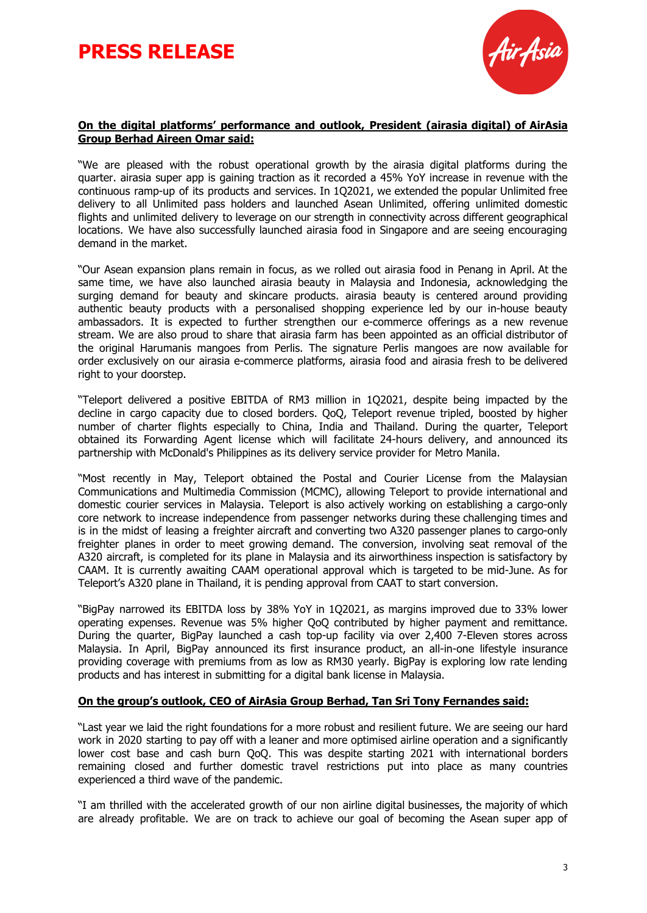# **PRESS RELEASE**



### **On the digital platforms' performance and outlook, President (airasia digital) of AirAsia Group Berhad Aireen Omar said:**

"We are pleased with the robust operational growth by the airasia digital platforms during the quarter. airasia super app is gaining traction as it recorded a 45% YoY increase in revenue with the continuous ramp-up of its products and services. In 1Q2021, we extended the popular Unlimited free delivery to all Unlimited pass holders and launched Asean Unlimited, offering unlimited domestic flights and unlimited delivery to leverage on our strength in connectivity across different geographical locations. We have also successfully launched airasia food in Singapore and are seeing encouraging demand in the market.

"Our Asean expansion plans remain in focus, as we rolled out airasia food in Penang in April. At the same time, we have also launched airasia beauty in Malaysia and Indonesia, acknowledging the surging demand for beauty and skincare products. airasia beauty is centered around providing authentic beauty products with a personalised shopping experience led by our in-house beauty ambassadors. It is expected to further strengthen our e-commerce offerings as a new revenue stream. We are also proud to share that airasia farm has been appointed as an official distributor of the original Harumanis mangoes from Perlis. The signature Perlis mangoes are now available for order exclusively on our airasia e-commerce platforms, airasia food and airasia fresh to be delivered right to your doorstep.

"Teleport delivered a positive EBITDA of RM3 million in 1Q2021, despite being impacted by the decline in cargo capacity due to closed borders. QoQ, Teleport revenue tripled, boosted by higher number of charter flights especially to China, India and Thailand. During the quarter, Teleport obtained its Forwarding Agent license which will facilitate 24-hours delivery, and announced its partnership with McDonald's Philippines as its delivery service provider for Metro Manila.

"Most recently in May, Teleport obtained the Postal and Courier License from the Malaysian Communications and Multimedia Commission (MCMC), allowing Teleport to provide international and domestic courier services in Malaysia. Teleport is also actively working on establishing a cargo-only core network to increase independence from passenger networks during these challenging times and is in the midst of leasing a freighter aircraft and converting two A320 passenger planes to cargo-only freighter planes in order to meet growing demand. The conversion, involving seat removal of the A320 aircraft, is completed for its plane in Malaysia and its airworthiness inspection is satisfactory by CAAM. It is currently awaiting CAAM operational approval which is targeted to be mid-June. As for Teleport's A320 plane in Thailand, it is pending approval from CAAT to start conversion.

"BigPay narrowed its EBITDA loss by 38% YoY in 1Q2021, as margins improved due to 33% lower operating expenses. Revenue was 5% higher QoQ contributed by higher payment and remittance. During the quarter, BigPay launched a cash top-up facility via over 2,400 7-Eleven stores across Malaysia. In April, BigPay announced its first insurance product, an all-in-one lifestyle insurance providing coverage with premiums from as low as RM30 yearly. BigPay is exploring low rate lending products and has interest in submitting for a digital bank license in Malaysia.

### **On the group's outlook, CEO of AirAsia Group Berhad, Tan Sri Tony Fernandes said:**

"Last year we laid the right foundations for a more robust and resilient future. We are seeing our hard work in 2020 starting to pay off with a leaner and more optimised airline operation and a significantly lower cost base and cash burn QoQ. This was despite starting 2021 with international borders remaining closed and further domestic travel restrictions put into place as many countries experienced a third wave of the pandemic.

"I am thrilled with the accelerated growth of our non airline digital businesses, the majority of which are already profitable. We are on track to achieve our goal of becoming the Asean super app of